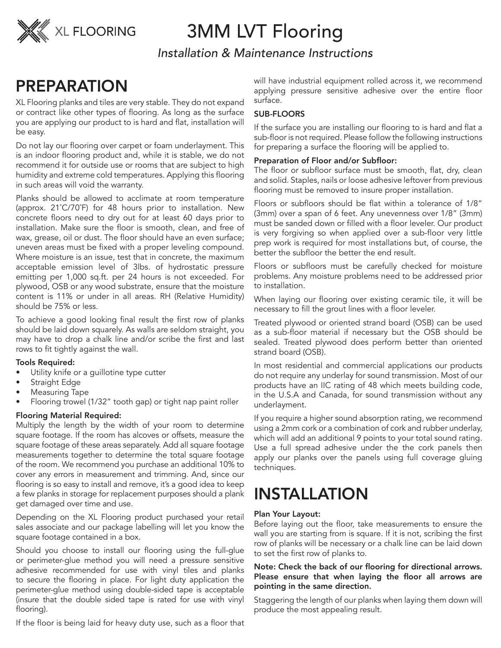

# 3MM LVT Flooring

*Installation & Maintenance Instructions*

# PREPARATION

XL Flooring planks and tiles are very stable. They do not expand or contract like other types of flooring. As long as the surface you are applying our product to is hard and flat, installation will be easy.

Do not lay our flooring over carpet or foam underlayment. This is an indoor flooring product and, while it is stable, we do not recommend it for outside use or rooms that are subject to high humidity and extreme cold temperatures. Applying this flooring in such areas will void the warranty.

Planks should be allowed to acclimate at room temperature (approx. 21˚C/70˚F) for 48 hours prior to installation. New concrete floors need to dry out for at least 60 days prior to installation. Make sure the floor is smooth, clean, and free of wax, grease, oil or dust. The floor should have an even surface; uneven areas must be fixed with a proper leveling compound. Where moisture is an issue, test that in concrete, the maximum acceptable emission level of 3lbs. of hydrostatic pressure emitting per 1,000 sq.ft. per 24 hours is not exceeded. For plywood, OSB or any wood substrate, ensure that the moisture content is 11% or under in all areas. RH (Relative Humidity) should be 75% or less.

To achieve a good looking final result the first row of planks should be laid down squarely. As walls are seldom straight, you may have to drop a chalk line and/or scribe the first and last rows to fit tightly against the wall.

## Tools Required:

- Utility knife or a guillotine type cutter
- Straight Edge
- Measuring Tape
- Flooring trowel (1/32" tooth gap) or tight nap paint roller

## Flooring Material Required:

Multiply the length by the width of your room to determine square footage. If the room has alcoves or offsets, measure the square footage of these areas separately. Add all square footage measurements together to determine the total square footage of the room. We recommend you purchase an additional 10% to cover any errors in measurement and trimming. And, since our flooring is so easy to install and remove, it's a good idea to keep a few planks in storage for replacement purposes should a plank get damaged over time and use.

Depending on the XL Flooring product purchased your retail sales associate and our package labelling will let you know the square footage contained in a box.

Should you choose to install our flooring using the full-glue or perimeter-glue method you will need a pressure sensitive adhesive recommended for use with vinyl tiles and planks to secure the flooring in place. For light duty application the perimeter-glue method using double-sided tape is acceptable (insure that the double sided tape is rated for use with vinyl flooring).

If the floor is being laid for heavy duty use, such as a floor that

will have industrial equipment rolled across it, we recommend applying pressure sensitive adhesive over the entire floor surface.

## SUB-FLOORS

If the surface you are installing our flooring to is hard and flat a sub-floor is not required. Please follow the following instructions for preparing a surface the flooring will be applied to.

## Preparation of Floor and/or Subfloor:

The floor or subfloor surface must be smooth, flat, dry, clean and solid. Staples, nails or loose adhesive leftover from previous flooring must be removed to insure proper installation.

Floors or subfloors should be flat within a tolerance of 1/8" (3mm) over a span of 6 feet. Any unevenness over 1/8" (3mm) must be sanded down or filled with a floor leveler. Our product is very forgiving so when applied over a sub-floor very little prep work is required for most installations but, of course, the better the subfloor the better the end result.

Floors or subfloors must be carefully checked for moisture problems. Any moisture problems need to be addressed prior to installation.

When laying our flooring over existing ceramic tile, it will be necessary to fill the grout lines with a floor leveler.

Treated plywood or oriented strand board (OSB) can be used as a sub-floor material if necessary but the OSB should be sealed. Treated plywood does perform better than oriented strand board (OSB).

In most residential and commercial applications our products do not require any underlay for sound transmission. Most of our products have an IIC rating of 48 which meets building code, in the U.S.A and Canada, for sound transmission without any underlayment.

If you require a higher sound absorption rating, we recommend using a 2mm cork or a combination of cork and rubber underlay, which will add an additional 9 points to your total sound rating. Use a full spread adhesive under the the cork panels then apply our planks over the panels using full coverage gluing techniques.

# INSTALLATION

## Plan Your Layout:

Before laying out the floor, take measurements to ensure the wall you are starting from is square. If it is not, scribing the first row of planks will be necessary or a chalk line can be laid down to set the first row of planks to.

## Note: Check the back of our flooring for directional arrows. Please ensure that when laying the floor all arrows are pointing in the same direction.

Staggering the length of our planks when laying them down will produce the most appealing result.